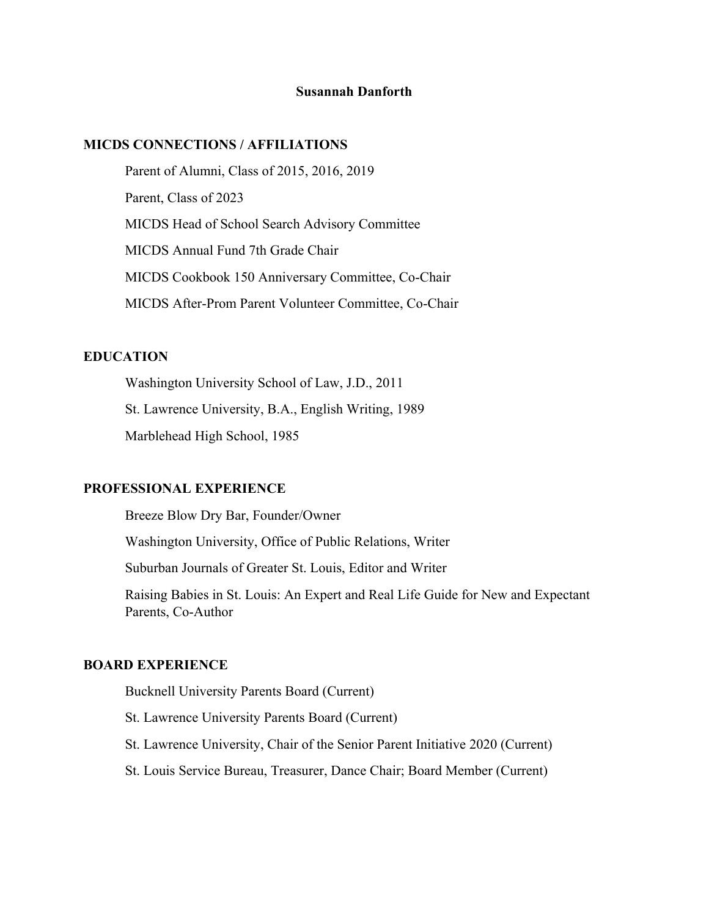#### **Susannah Danforth**

#### **MICDS CONNECTIONS / AFFILIATIONS**

 Parent of Alumni, Class of 2015, 2016, 2019 Parent, Class of 2023 MICDS Head of School Search Advisory Committee MICDS Annual Fund 7th Grade Chair MICDS Cookbook 150 Anniversary Committee, Co-Chair MICDS After-Prom Parent Volunteer Committee, Co-Chair

# **EDUCATION**

 Washington University School of Law, J.D., 2011 St. Lawrence University, B.A., English Writing, 1989 Marblehead High School, 1985

### **PROFESSIONAL EXPERIENCE**

 Breeze Blow Dry Bar, Founder/Owner Washington University, Office of Public Relations, Writer Suburban Journals of Greater St. Louis, Editor and Writer Raising Babies in St. Louis: An Expert and Real Life Guide for New and Expectant Parents, Co-Author

### **BOARD EXPERIENCE**

Bucknell University Parents Board (Current) St. Lawrence University Parents Board (Current) St. Lawrence University, Chair of the Senior Parent Initiative 2020 (Current) St. Louis Service Bureau, Treasurer, Dance Chair; Board Member (Current)